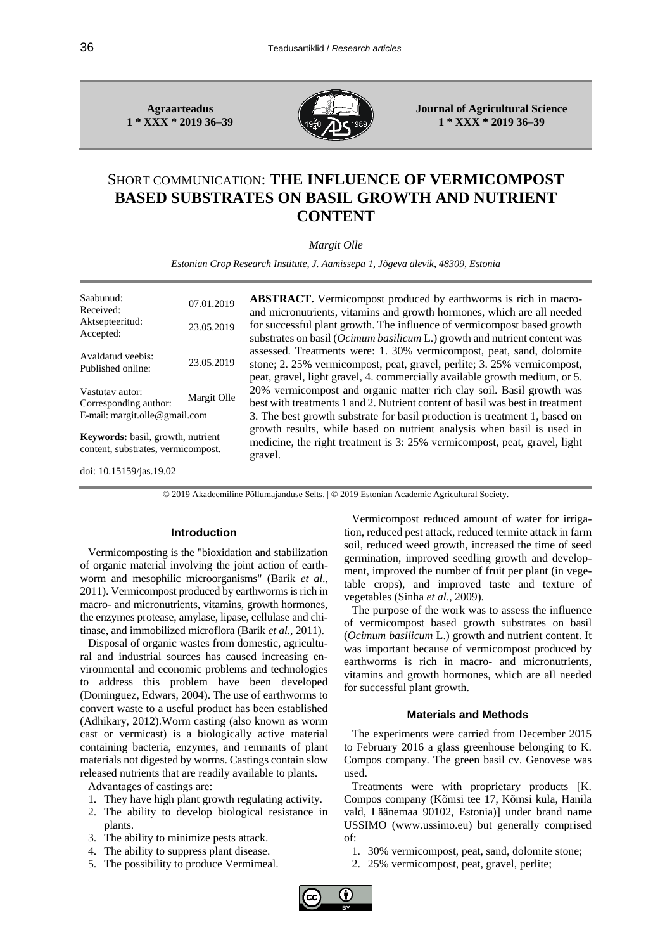**Agraarteadus 1 \* XXX \* 2019 36–39**



**Journal of Agricultural Science 1 \* XXX \* 2019 36–39**

# SHORT COMMUNICATION: **THE INFLUENCE OF VERMICOMPOST BASED SUBSTRATES ON BASIL GROWTH AND NUTRIENT CONTENT**

*Margit Olle*

*Estonian Crop Research Institute, J. Aamissepa 1, Jõgeva alevik, 48309, Estonia*

| Saabunud:<br>Received:                                                                   | 07.01.2019 |  |  |  |  |
|------------------------------------------------------------------------------------------|------------|--|--|--|--|
| Aktsepteeritud:<br>Accepted:                                                             | 23.05.2019 |  |  |  |  |
| Avaldatud veebis:<br>Published online:                                                   | 23.05.2019 |  |  |  |  |
| Vastutav autor:<br>Margit Olle<br>Corresponding author:<br>E-mail: margit.olle@gmail.com |            |  |  |  |  |
| Keywords: basil, growth, nutrient<br>content, substrates, vermicompost.                  |            |  |  |  |  |

**ABSTRACT.** Vermicompost produced by earthworms is rich in macroand micronutrients, vitamins and growth hormones, which are all needed for successful plant growth. The influence of vermicompost based growth substrates on basil (*Ocimum basilicum* L.) growth and nutrient content was assessed. Treatments were: 1. 30% vermicompost, peat, sand, dolomite stone; 2. 25% vermicompost, peat, gravel, perlite; 3. 25% vermicompost, peat, gravel, light gravel, 4. commercially available growth medium, or 5. 20% vermicompost and organic matter rich clay soil. Basil growth was best with treatments 1 and 2. Nutrient content of basil was best in treatment 3. The best growth substrate for basil production is treatment 1, based on growth results, while based on nutrient analysis when basil is used in medicine, the right treatment is 3: 25% vermicompost, peat, gravel, light gravel.

doi: [10.15159/jas.19.02](https://dx.doi.org/10.15159/jas.19.02)

© 2019 Akadeemiline Põllumajanduse Selts. | © 2019 Estonian Academic Agricultural Society.

# **Introduction**

Vermicomposting is the "bioxidation and stabilization of organic material involving the joint action of earthworm and mesophilic microorganisms" (Barik *et al*., 2011). Vermicompost produced by earthworms is rich in macro- and micronutrients, vitamins, growth hormones, the enzymes protease, amylase, lipase, cellulase and chitinase, and immobilized microflora (Barik *et al*., 2011).

Disposal of organic wastes from domestic, agricultural and industrial sources has caused increasing environmental and economic problems and technologies to address this problem have been developed (Dominguez, Edwars, 2004). The use of earthworms to convert waste to a useful product has been established (Adhikary, 2012).Worm casting (also known as worm cast or vermicast) is a biologically active material containing bacteria, enzymes, and remnants of plant materials not digested by worms. Castings contain slow released nutrients that are readily available to plants.

Advantages of castings are:

- 1. They have high plant growth regulating activity.
- 2. The ability to develop biological resistance in plants.
- 3. The ability to minimize pests attack.
- 4. The ability to suppress plant disease.
- 5. The possibility to produce Vermimeal.

Vermicompost reduced amount of water for irrigation, reduced pest attack, reduced termite attack in farm soil, reduced weed growth, increased the time of seed germination, improved seedling growth and development, improved the number of fruit per plant (in vegetable crops), and improved taste and texture of vegetables (Sinha *et al*., 2009).

The purpose of the work was to assess the influence of vermicompost based growth substrates on basil (*Ocimum basilicum* L.) growth and nutrient content. It was important because of vermicompost produced by earthworms is rich in macro- and micronutrients, vitamins and growth hormones, which are all needed for successful plant growth.

## **Materials and Methods**

The experiments were carried from December 2015 to February 2016 a glass greenhouse belonging to K. Compos company. The green basil cv. Genovese was used.

Treatments were with proprietary products [K. Compos company (Kõmsi tee 17, Kõmsi küla, Hanila vald, Läänemaa 90102, Estonia)] under brand name USSIMO (www.ussimo.eu) but generally comprised  $\alpha$ f

- 1. 30% vermicompost, peat, sand, dolomite stone;
- 2. 25% vermicompost, peat, gravel, perlite;

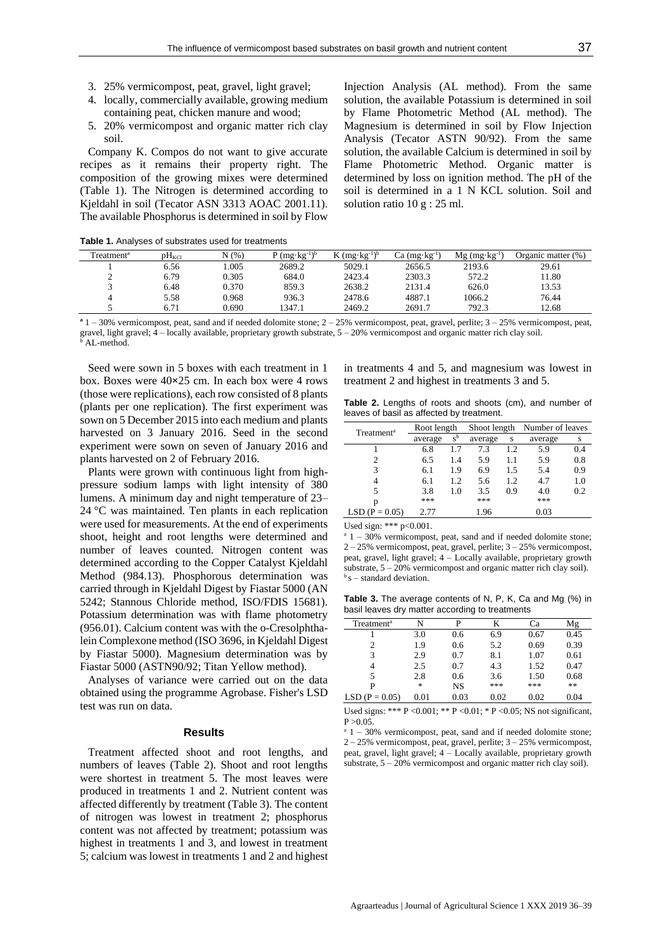- 3. 25% vermicompost, peat, gravel, light gravel;
- 4. locally, commercially available, growing medium containing peat, chicken manure and wood;
- 5. 20% vermicompost and organic matter rich clay soil.

Company K. Compos do not want to give accurate recipes as it remains their property right. The composition of the growing mixes were determined (Table 1). The Nitrogen is determined according to Kjeldahl in soil (Tecator ASN 3313 AOAC 2001.11). The available Phosphorus is determined in soil by Flow Injection Analysis (AL method). From the same solution, the available Potassium is determined in soil by Flame Photometric Method (AL method). The Magnesium is determined in soil by Flow Injection Analysis (Tecator ASTN 90/92). From the same solution, the available Calcium is determined in soil by Flame Photometric Method. Organic matter is determined by loss on ignition method. The pH of the soil is determined in a 1 N KCL solution. Soil and solution ratio 10 g : 25 ml.

| Treatment <sup>a</sup> | $pH_{\text{KCl}}$ | N(% ) | $(mg \cdot kg^{-1})^b$ | $(mg \cdot kg^{-1})^b$ | $Ca$ (mg $\cdot$ kg <sup>-1</sup> ) | $Mg$ (mg·kg <sup>-1</sup> ) | Organic matter (%) |
|------------------------|-------------------|-------|------------------------|------------------------|-------------------------------------|-----------------------------|--------------------|
|                        | 6.56              | .005  | 2689.2                 | 5029.1                 | 2656.5                              | 2193.6                      | 29.61              |
| ∼                      | 6.79              | 0.305 | 684.0                  | 2423.4                 | 2303.3                              | 572.2                       | 11.80              |
|                        | 6.48              | 0.370 | 859.3                  | 2638.2                 | 2131.4                              | 626.0                       | 13.53              |
| 4                      | 5.58              | 0.968 | 936.3                  | 2478.6                 | 4887.1                              | 1066.2                      | 76.44              |
|                        | $6.7^{\circ}$     | 0.690 | 1347.1                 | 2469.2                 | 2691.7                              | 792.3                       | 12.68              |

|  |  | Table 1. Analyses of substrates used for treatments |  |  |
|--|--|-----------------------------------------------------|--|--|
|--|--|-----------------------------------------------------|--|--|

 $a<sup>a</sup> 1 - 30%$  vermicompost, peat, sand and if needed dolomite stone;  $2 - 25%$  vermicompost, peat, gravel, perlite;  $3 - 25%$  vermicompost, peat, gravel, light gravel; 4 – locally available, proprietary growth substrate, 5 – 20% vermicompost and organic matter rich clay soil. AL-method.

Seed were sown in 5 boxes with each treatment in 1 box. Boxes were 40**×**25 cm. In each box were 4 rows (those were replications), each row consisted of 8 plants (plants per one replication). The first experiment was sown on 5 December 2015 into each medium and plants harvested on 3 January 2016. Seed in the second experiment were sown on seven of January 2016 and plants harvested on 2 of February 2016.

Plants were grown with continuous light from highpressure sodium lamps with light intensity of 380 lumens. A minimum day and night temperature of 23– 24 °C was maintained. Ten plants in each replication were used for measurements. At the end of experiments shoot, height and root lengths were determined and number of leaves counted. Nitrogen content was determined according to the Copper Catalyst Kjeldahl Method (984.13). Phosphorous determination was carried through in Kjeldahl Digest by Fiastar 5000 (AN 5242; Stannous Chloride method, ISO/FDIS 15681). Potassium determination was with flame photometry (956.01). Calcium content was with the o-Cresolphthalein Complexone method (ISO 3696, in Kjeldahl Digest by Fiastar 5000). Magnesium determination was by Fiastar 5000 (ASTN90/92; Titan Yellow method).

Analyses of variance were carried out on the data obtained using the programme Agrobase. Fisher's LSD test was run on data.

#### **Results**

Treatment affected shoot and root lengths, and numbers of leaves (Table 2). Shoot and root lengths were shortest in treatment 5. The most leaves were produced in treatments 1 and 2. Nutrient content was affected differently by treatment (Table 3). The content of nitrogen was lowest in treatment 2; phosphorus content was not affected by treatment; potassium was highest in treatments 1 and 3, and lowest in treatment 5; calcium was lowest in treatments 1 and 2 and highest

in treatments 4 and 5, and magnesium was lowest in treatment 2 and highest in treatments 3 and 5.

**Table 2.** Lengths of roots and shoots (cm), and number of leaves of basil as affected by treatment.

| Treatment <sup>a</sup> | Root length |             | Shoot length |     | Number of leaves |     |
|------------------------|-------------|-------------|--------------|-----|------------------|-----|
|                        | average     | $s^{\rm b}$ | average      | S   | average          | s   |
|                        | 6.8         | 1.7         | 7.3          | 1.2 | 5.9              | 0.4 |
| 2                      | 6.5         | 1.4         | 5.9          | 1.1 | 5.9              | 0.8 |
| 3                      | 6.1         | 1.9         | 6.9          | 1.5 | 5.4              | 0.9 |
|                        | 6.1         | 1.2         | 5.6          | 1.2 | 4.7              | 1.0 |
| 5                      | 3.8         | 1.0         | 3.5          | 0.9 | 4.0              | 0.2 |
| p                      | ***         |             | ***          |     | ***              |     |
| $LSD (P = 0.05)$       | 2.77        |             | 1.96         |     | 0.03             |     |

Used sign: \*\*\* p<0.001.

 $a<sup>a</sup> 1 - 30%$  vermicompost, peat, sand and if needed dolomite stone; 2 – 25% vermicompost, peat, gravel, perlite; 3 – 25% vermicompost, peat, gravel, light gravel; 4 – Locally available, proprietary growth substrate,  $5 - 20\%$  vermicompost and organic matter rich clay soil).  $\delta s$  – standard deviation.

**Table 3.** The average contents of N, P, K, Ca and Mg (%) in basil leaves dry matter according to treatments

| Treatment <sup>a</sup> | N      | P    | K    | Сa   | Mg   |
|------------------------|--------|------|------|------|------|
|                        | 3.0    | 0.6  | 6.9  | 0.67 | 0.45 |
| 2                      | 1.9    | 0.6  | 5.2  | 0.69 | 0.39 |
| 3                      | 2.9    | 0.7  | 8.1  | 1.07 | 0.61 |
| 4                      | 2.5    | 0.7  | 4.3  | 1.52 | 0.47 |
| 5                      | 2.8    | 0.6  | 3.6  | 1.50 | 0.68 |
| P                      | $\ast$ | NS   | ***  | ***  | **   |
| $LSD (P = 0.05)$       | 0.01   | 0.03 | 0.02 | 0.02 | 0.04 |
|                        |        |      |      |      |      |

Used signs: \*\*\* P <0.001; \*\* P <0.01; \* P <0.05; NS not significant,  $P > 0.05$ .

 $a<sup>a</sup> 1 - 30%$  vermicompost, peat, sand and if needed dolomite stone; 2 – 25% vermicompost, peat, gravel, perlite; 3 – 25% vermicompost, peat, gravel, light gravel; 4 – Locally available, proprietary growth substrate, 5 – 20% vermicompost and organic matter rich clay soil).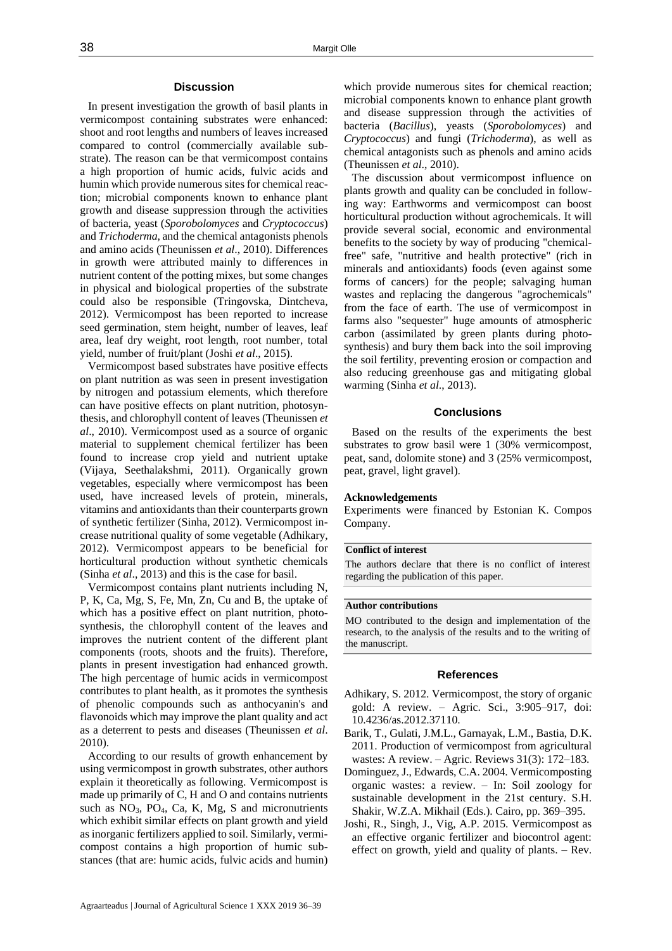#### **Discussion**

In present investigation the growth of basil plants in vermicompost containing substrates were enhanced: shoot and root lengths and numbers of leaves increased compared to control (commercially available substrate). The reason can be that vermicompost contains a high proportion of humic acids, fulvic acids and humin which provide numerous sites for chemical reaction; microbial components known to enhance plant growth and disease suppression through the activities of bacteria, yeast (*Sporobolomyces* and *Cryptococcus*) and *Trichoderma*, and the chemical antagonists phenols and amino acids (Theunissen *et al*., 2010). Differences in growth were attributed mainly to differences in nutrient content of the potting mixes, but some changes in physical and biological properties of the substrate could also be responsible (Tringovska, Dintcheva, 2012). Vermicompost has been reported to increase seed germination, stem height, number of leaves, leaf area, leaf dry weight, root length, root number, total yield, number of fruit/plant (Joshi *et al*., 2015).

Vermicompost based substrates have positive effects on plant nutrition as was seen in present investigation by nitrogen and potassium elements, which therefore can have positive effects on plant nutrition, photosynthesis, and chlorophyll content of leaves (Theunissen *et al*., 2010). Vermicompost used as a source of organic material to supplement chemical fertilizer has been found to increase crop yield and nutrient uptake (Vijaya, Seethalakshmi, 2011). Organically grown vegetables, especially where vermicompost has been used, have increased levels of protein, minerals, vitamins and antioxidants than their counterparts grown of synthetic fertilizer (Sinha, 2012). Vermicompost increase nutritional quality of some vegetable (Adhikary, 2012). Vermicompost appears to be beneficial for horticultural production without synthetic chemicals (Sinha *et al*., 2013) and this is the case for basil.

Vermicompost contains plant nutrients including N, P, K, Ca, Mg, S, Fe, Mn, Zn, Cu and B, the uptake of which has a positive effect on plant nutrition, photosynthesis, the chlorophyll content of the leaves and improves the nutrient content of the different plant components (roots, shoots and the fruits). Therefore, plants in present investigation had enhanced growth. The high percentage of humic acids in vermicompost contributes to plant health, as it promotes the synthesis of phenolic compounds such as anthocyanin's and flavonoids which may improve the plant quality and act as a deterrent to pests and diseases (Theunissen *et al*. 2010).

According to our results of growth enhancement by using vermicompost in growth substrates, other authors explain it theoretically as following. Vermicompost is made up primarily of C, H and O and contains nutrients such as  $NO<sub>3</sub>$ ,  $PO<sub>4</sub>$ ,  $Ca$ ,  $K$ ,  $Mg$ ,  $S$  and micronutrients which exhibit similar effects on plant growth and yield as inorganic fertilizers applied to soil. Similarly, vermicompost contains a high proportion of humic substances (that are: humic acids, fulvic acids and humin)

which provide numerous sites for chemical reaction; microbial components known to enhance plant growth and disease suppression through the activities of bacteria (*Bacillus*), yeasts (*Sporobolomyces*) and *Cryptococcus*) and fungi (*Trichoderma*), as well as chemical antagonists such as phenols and amino acids (Theunissen *et al*., 2010).

The discussion about vermicompost influence on plants growth and quality can be concluded in following way: Earthworms and vermicompost can boost horticultural production without agrochemicals. It will provide several social, economic and environmental benefits to the society by way of producing "chemicalfree" safe, "nutritive and health protective" (rich in minerals and antioxidants) foods (even against some forms of cancers) for the people; salvaging human wastes and replacing the dangerous "agrochemicals" from the face of earth. The use of vermicompost in farms also "sequester" huge amounts of atmospheric carbon (assimilated by green plants during photosynthesis) and bury them back into the soil improving the soil fertility, preventing erosion or compaction and also reducing greenhouse gas and mitigating global warming (Sinha *et al*., 2013).

#### **Conclusions**

Based on the results of the experiments the best substrates to grow basil were 1 (30% vermicompost, peat, sand, dolomite stone) and 3 (25% vermicompost, peat, gravel, light gravel).

#### **Acknowledgements**

Experiments were financed by Estonian K. Compos Company.

#### **Conflict of interest**

The authors declare that there is no conflict of interest regarding the publication of this paper.

#### **Author contributions**

MO contributed to the design and implementation of the research, to the analysis of the results and to the writing of the manuscript.

## **References**

- Adhikary, S. 2012. Vermicompost, the story of organic gold: A review. – Agric. Sci., 3:905–917, doi: 10.4236/as.2012.37110.
- Barik, T., Gulati, J.M.L., Garnayak, L.M., Bastia, D.K. 2011. Production of vermicompost from agricultural wastes: A review. – Agric. Reviews 31(3): 172–183.
- Dominguez, J., Edwards, C.A. 2004. Vermicomposting organic wastes: a review. – In: Soil zoology for sustainable development in the 21st century. S.H. Shakir, W.Z.A. Mikhail (Eds.). Cairo, pp. 369–395.
- Joshi, R., Singh, J., Vig, A.P. 2015. Vermicompost as an effective organic fertilizer and biocontrol agent: effect on growth, yield and quality of plants. – Rev.